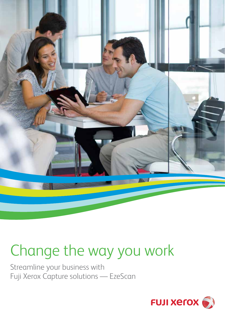

# Change the way you work

Streamline your business with Fuji Xerox Capture solutions — EzeScan

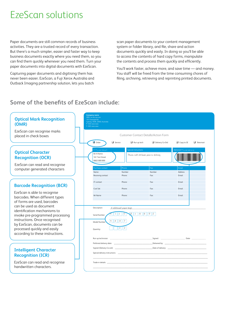## EzeScan solutions

Paper documents are still common records of business activities. They are a trusted record of every transaction. But there's a much simpler, easier and faster way to keep business documents exactly where you need them, so you can find them quickly whenever you need them. Turn your paper documents into digital documents with EzeScan.

Capturing paper documents and digitising them has never been easier. EzeScan, a Fuji Xerox Australia and Outback Imaging partnership solution, lets you batch

scan paper documents to your content management system or folder library, and file, share and action documents quickly and easily. In doing so you'll be able to access the contents of hard copy forms, manipulate the contents and process them quickly and efficiently.

You'll work faster, achieve more, and save time — and money. You staff will be freed from the time consuming chores of filing, archiving, retrieving and reprinting printed documents.

### **Some of the benefits of EzeScan include:**

| <b>Optical Mark Recognition</b><br>(OMR)                                                    | <b>Company name</b><br>ABN: xx xxx xxx xxx<br>101 Example Rd<br>Sydney, NSW, 2000, Australia<br>P: (02) xxxx xxxx<br>$F: (02)$ xxxx xxxx |                                                  |                                        |                                       |
|---------------------------------------------------------------------------------------------|------------------------------------------------------------------------------------------------------------------------------------------|--------------------------------------------------|----------------------------------------|---------------------------------------|
| EzeScan can recognise marks<br>placed in check boxes                                        | <b>Customer Contact Detalls/Action Form</b>                                                                                              |                                                  |                                        |                                       |
|                                                                                             | Order                                                                                                                                    | $\Box$ Service<br>$\Box$ Run up tech             | Delivery Co-Ord                        | $\Box$ Copy to SE<br>$\Box$ Telesmart |
| <b>Optical Character</b><br><b>Recognition (OCR)</b>                                        | <b>Customer Details</b><br>Mr A Name<br>161 Test Street<br>0602 000 000                                                                  | <b>Special instructions</b>                      | Please call 24 hours prior to delivery | Administrational use only             |
| EzeScan can read and recognise<br>computer generated characters                             | Purchase contact<br>Name                                                                                                                 | Phone<br>Number                                  | Fax<br>Number                          | Email<br>Address                      |
|                                                                                             | Receiving contact                                                                                                                        | Phone:                                           | Fax:                                   | Email:                                |
| <b>Barcode Recognition (BCR)</b><br>EzeScan is able to recognise                            | IT contact                                                                                                                               | Phone:                                           | Fax:                                   | Email:                                |
|                                                                                             | Cust Sat<br>Mr Name                                                                                                                      | Phone:<br>Phone:                                 | Fax:<br>Fax:                           | Email:<br>Email:                      |
| barcodes. When different types<br>of forms are used, barcodes                               |                                                                                                                                          |                                                  |                                        |                                       |
| can be used as document<br>identification mechanisms to<br>invoke pre-programmed processing | Description:<br>4 additional paper trays<br>$8$   1   6   6   9   2<br>$\circ$<br>$\vert$ 1<br>Serial Number:                            |                                                  |                                        |                                       |
| instructions. Once recognised<br>by EzeScan, documents can be                               | Model Number                                                                                                                             | 5  4  9  7                                       |                                        |                                       |
| processed quickly and easily<br>according to these instructions.                            | Quantity:                                                                                                                                | $3 \mid 2$                                       |                                        |                                       |
|                                                                                             | Run up technician:                                                                                                                       | the control of the control of the control of the |                                        |                                       |
|                                                                                             |                                                                                                                                          |                                                  |                                        |                                       |
| <b>Intelligent Character</b><br><b>Recognition (ICR)</b>                                    |                                                                                                                                          |                                                  |                                        |                                       |
| EzeScan can read and recognise<br>handwritten characters.                                   | Trade-in details:                                                                                                                        |                                                  |                                        |                                       |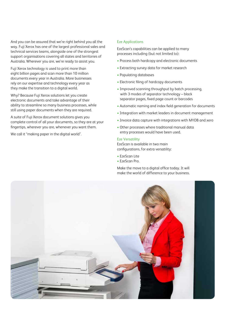And you can be assured that we're right behind you all the way. Fuji Xerox has one of the largest professional sales and technical services teams, alongside one of the strongest support organisations covering all states and territories of Australia. Wherever you are, we're ready to assist you.

Fuji Xerox technology is used to print more than eight billion pages and scan more than 10 million documents every year in Australia. More businesses rely on our expertise and technology every year as they make the transition to a digital world.

Why? Because Fuji Xerox solutions let you create electronic documents and take advantage of their ability to streamline so many business processes, while still using paper documents when they are required.

A suite of Fuji Xerox document solutions gives you complete control of all your documents, so they are at your fingertips, wherever you are, whenever you want them.

We call it "making paper in the digital world".

#### Eze Applications

EzeScan's capabilities can be applied to many processes including (but not limited to):

- Process both hardcopy and electronic documents
- Extracting survey data for market research
- Populating databases
- Electronic filing of hardcopy documents
- Improved scanning throughput by batch processing, with 3 modes of separator technology – black separator pages, fixed page count or barcodes
- Automatic naming and index field generation for documents
- Integration with market leaders in document management
- Invoice data capture with integrations with MYOB and xero
- Other processes where traditional manual data entry processes would have been used.

#### Eze Versatility

EzeScan is available in two main configurations, for extra versatility:

- EzeScan Lite
- EzeScan Pro.

Make the move to a digital office today. It will make the world of difference to your business.